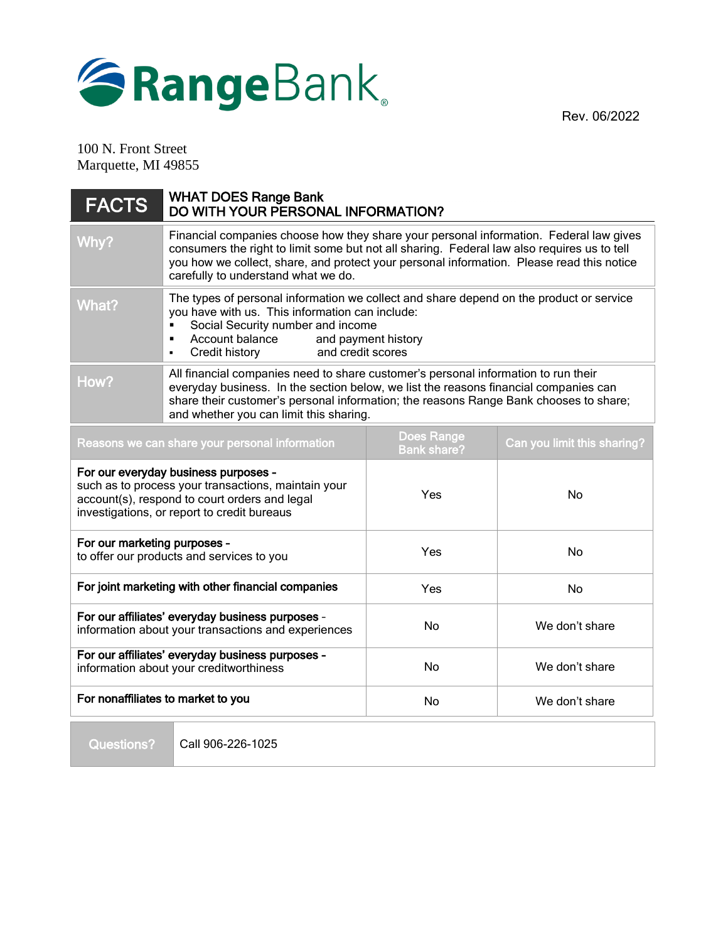



100 N. Front Street Marquette, MI 49855

| <b>FACTS</b>                                                                                                                                                                                | <b>WHAT DOES Range Bank</b><br>DO WITH YOUR PERSONAL INFORMATION?                                                                                                                                                                                                                                                         |                                         |                             |
|---------------------------------------------------------------------------------------------------------------------------------------------------------------------------------------------|---------------------------------------------------------------------------------------------------------------------------------------------------------------------------------------------------------------------------------------------------------------------------------------------------------------------------|-----------------------------------------|-----------------------------|
| Why?                                                                                                                                                                                        | Financial companies choose how they share your personal information. Federal law gives<br>consumers the right to limit some but not all sharing. Federal law also requires us to tell<br>you how we collect, share, and protect your personal information. Please read this notice<br>carefully to understand what we do. |                                         |                             |
| What?                                                                                                                                                                                       | The types of personal information we collect and share depend on the product or service<br>you have with us. This information can include:<br>Social Security number and income<br>Account balance<br>and payment history<br>٠<br>and credit scores<br>Credit history<br>$\blacksquare$                                   |                                         |                             |
| How?                                                                                                                                                                                        | All financial companies need to share customer's personal information to run their<br>everyday business. In the section below, we list the reasons financial companies can<br>share their customer's personal information; the reasons Range Bank chooses to share;<br>and whether you can limit this sharing.            |                                         |                             |
| Reasons we can share your personal information                                                                                                                                              |                                                                                                                                                                                                                                                                                                                           | <b>Does Range</b><br><b>Bank share?</b> | Can you limit this sharing? |
| For our everyday business purposes -<br>such as to process your transactions, maintain your<br>account(s), respond to court orders and legal<br>investigations, or report to credit bureaus |                                                                                                                                                                                                                                                                                                                           | Yes                                     | No                          |
| For our marketing purposes -<br>to offer our products and services to you                                                                                                                   |                                                                                                                                                                                                                                                                                                                           | Yes                                     | No                          |
| For joint marketing with other financial companies                                                                                                                                          |                                                                                                                                                                                                                                                                                                                           | Yes                                     | No                          |
| For our affiliates' everyday business purposes -<br>information about your transactions and experiences                                                                                     |                                                                                                                                                                                                                                                                                                                           | <b>No</b>                               | We don't share              |
| For our affiliates' everyday business purposes -<br>information about your creditworthiness                                                                                                 |                                                                                                                                                                                                                                                                                                                           | <b>No</b>                               | We don't share              |
| For nonaffiliates to market to you                                                                                                                                                          |                                                                                                                                                                                                                                                                                                                           | No                                      | We don't share              |

Questions?

Call 906-226-1025